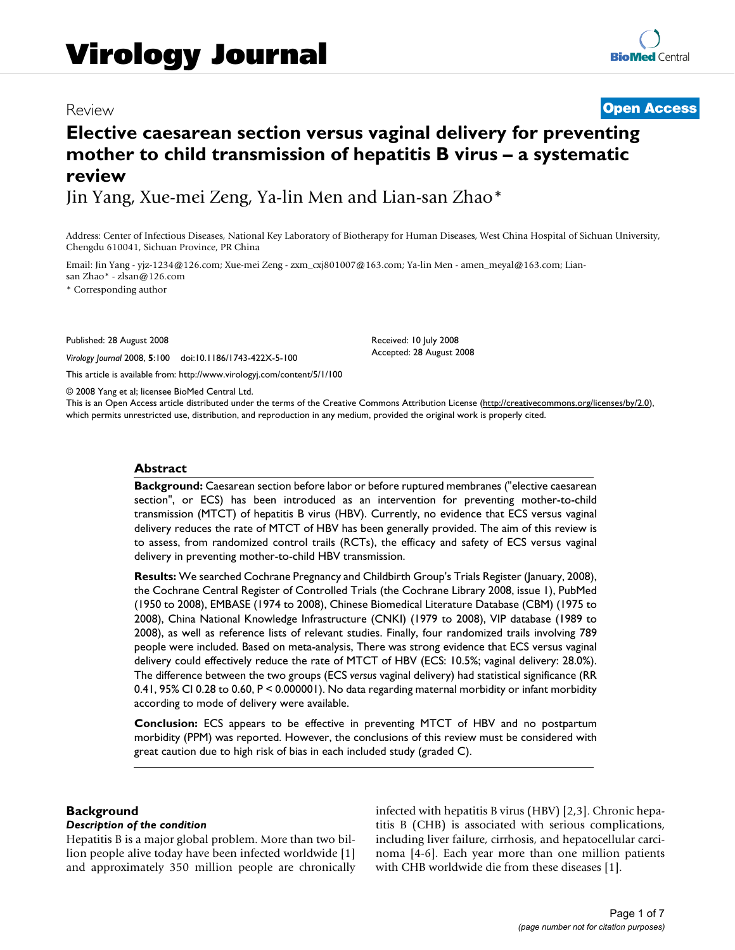# Review **[Open Access](http://www.biomedcentral.com/info/about/charter/)**

# **Elective caesarean section versus vaginal delivery for preventing mother to child transmission of hepatitis B virus – a systematic review**

Jin Yang, Xue-mei Zeng, Ya-lin Men and Lian-san Zhao\*

Address: Center of Infectious Diseases, National Key Laboratory of Biotherapy for Human Diseases, West China Hospital of Sichuan University, Chengdu 610041, Sichuan Province, PR China

Email: Jin Yang - yjz-1234@126.com; Xue-mei Zeng - zxm\_cxj801007@163.com; Ya-lin Men - amen\_meyal@163.com; Liansan Zhao\* - zlsan@126.com

\* Corresponding author

Published: 28 August 2008

*Virology Journal* 2008, **5**:100 doi:10.1186/1743-422X-5-100

[This article is available from: http://www.virologyj.com/content/5/1/100](http://www.virologyj.com/content/5/1/100)

© 2008 Yang et al; licensee BioMed Central Ltd.

This is an Open Access article distributed under the terms of the Creative Commons Attribution License [\(http://creativecommons.org/licenses/by/2.0\)](http://creativecommons.org/licenses/by/2.0), which permits unrestricted use, distribution, and reproduction in any medium, provided the original work is properly cited.

Received: 10 July 2008 Accepted: 28 August 2008

#### **Abstract**

**Background:** Caesarean section before labor or before ruptured membranes ("elective caesarean section", or ECS) has been introduced as an intervention for preventing mother-to-child transmission (MTCT) of hepatitis B virus (HBV). Currently, no evidence that ECS versus vaginal delivery reduces the rate of MTCT of HBV has been generally provided. The aim of this review is to assess, from randomized control trails (RCTs), the efficacy and safety of ECS versus vaginal delivery in preventing mother-to-child HBV transmission.

**Results:** We searched Cochrane Pregnancy and Childbirth Group's Trials Register (January, 2008), the Cochrane Central Register of Controlled Trials (the Cochrane Library 2008, issue 1), PubMed (1950 to 2008), EMBASE (1974 to 2008), Chinese Biomedical Literature Database (CBM) (1975 to 2008), China National Knowledge Infrastructure (CNKI) (1979 to 2008), VIP database (1989 to 2008), as well as reference lists of relevant studies. Finally, four randomized trails involving 789 people were included. Based on meta-analysis, There was strong evidence that ECS versus vaginal delivery could effectively reduce the rate of MTCT of HBV (ECS: 10.5%; vaginal delivery: 28.0%). The difference between the two groups (ECS *versus* vaginal delivery) had statistical significance (RR 0.41, 95% CI 0.28 to 0.60, P < 0.000001). No data regarding maternal morbidity or infant morbidity according to mode of delivery were available.

**Conclusion:** ECS appears to be effective in preventing MTCT of HBV and no postpartum morbidity (PPM) was reported. However, the conclusions of this review must be considered with great caution due to high risk of bias in each included study (graded C).

#### **Background**

#### *Description of the condition*

Hepatitis B is a major global problem. More than two billion people alive today have been infected worldwide [1] and approximately 350 million people are chronically infected with hepatitis B virus (HBV) [2,3]. Chronic hepatitis B (CHB) is associated with serious complications, including liver failure, cirrhosis, and hepatocellular carcinoma [4-6]. Each year more than one million patients with CHB worldwide die from these diseases [1].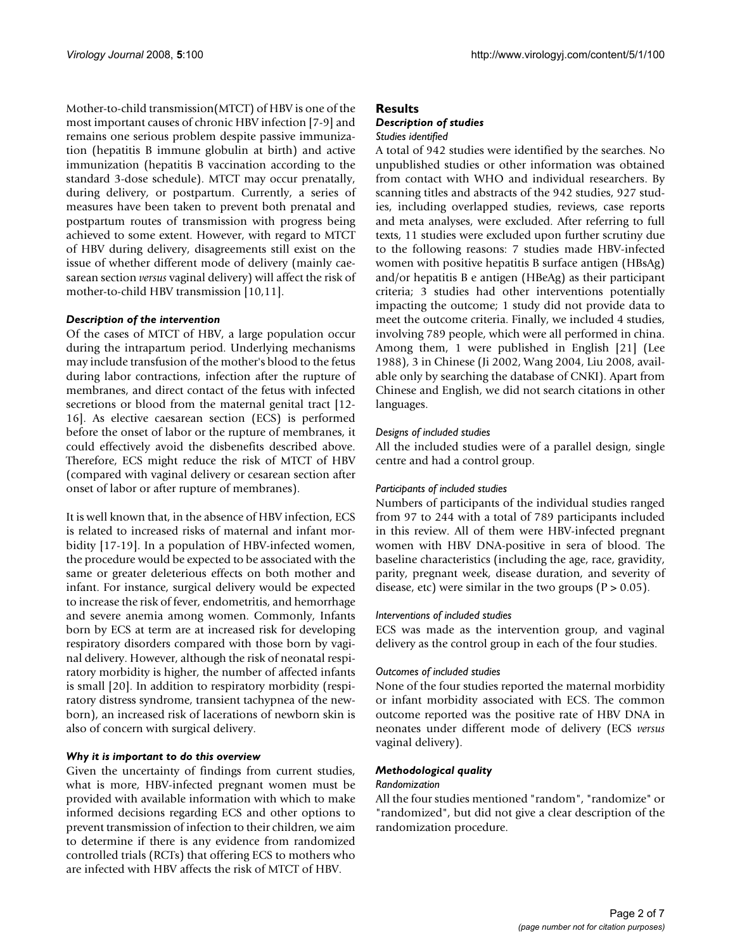Mother-to-child transmission(MTCT) of HBV is one of the most important causes of chronic HBV infection [7-9] and remains one serious problem despite passive immunization (hepatitis B immune globulin at birth) and active immunization (hepatitis B vaccination according to the standard 3-dose schedule). MTCT may occur prenatally, during delivery, or postpartum. Currently, a series of measures have been taken to prevent both prenatal and postpartum routes of transmission with progress being achieved to some extent. However, with regard to MTCT of HBV during delivery, disagreements still exist on the issue of whether different mode of delivery (mainly caesarean section *versus* vaginal delivery) will affect the risk of mother-to-child HBV transmission [10,11].

#### *Description of the intervention*

Of the cases of MTCT of HBV, a large population occur during the intrapartum period. Underlying mechanisms may include transfusion of the mother's blood to the fetus during labor contractions, infection after the rupture of membranes, and direct contact of the fetus with infected secretions or blood from the maternal genital tract [12- 16]. As elective caesarean section (ECS) is performed before the onset of labor or the rupture of membranes, it could effectively avoid the disbenefits described above. Therefore, ECS might reduce the risk of MTCT of HBV (compared with vaginal delivery or cesarean section after onset of labor or after rupture of membranes).

It is well known that, in the absence of HBV infection, ECS is related to increased risks of maternal and infant morbidity [17-19]. In a population of HBV-infected women, the procedure would be expected to be associated with the same or greater deleterious effects on both mother and infant. For instance, surgical delivery would be expected to increase the risk of fever, endometritis, and hemorrhage and severe anemia among women. Commonly, Infants born by ECS at term are at increased risk for developing respiratory disorders compared with those born by vaginal delivery. However, although the risk of neonatal respiratory morbidity is higher, the number of affected infants is small [20]. In addition to respiratory morbidity (respiratory distress syndrome, transient tachypnea of the newborn), an increased risk of lacerations of newborn skin is also of concern with surgical delivery.

#### *Why it is important to do this overview*

Given the uncertainty of findings from current studies, what is more, HBV-infected pregnant women must be provided with available information with which to make informed decisions regarding ECS and other options to prevent transmission of infection to their children, we aim to determine if there is any evidence from randomized controlled trials (RCTs) that offering ECS to mothers who are infected with HBV affects the risk of MTCT of HBV.

#### **Results**

# *Description of studies*

#### *Studies identified*

A total of 942 studies were identified by the searches. No unpublished studies or other information was obtained from contact with WHO and individual researchers. By scanning titles and abstracts of the 942 studies, 927 studies, including overlapped studies, reviews, case reports and meta analyses, were excluded. After referring to full texts, 11 studies were excluded upon further scrutiny due to the following reasons: 7 studies made HBV-infected women with positive hepatitis B surface antigen (HBsAg) and/or hepatitis B e antigen (HBeAg) as their participant criteria; 3 studies had other interventions potentially impacting the outcome; 1 study did not provide data to meet the outcome criteria. Finally, we included 4 studies, involving 789 people, which were all performed in china. Among them, 1 were published in English [21] (Lee 1988), 3 in Chinese (Ji 2002, Wang 2004, Liu 2008, available only by searching the database of CNKI). Apart from Chinese and English, we did not search citations in other languages.

#### *Designs of included studies*

All the included studies were of a parallel design, single centre and had a control group.

#### *Participants of included studies*

Numbers of participants of the individual studies ranged from 97 to 244 with a total of 789 participants included in this review. All of them were HBV-infected pregnant women with HBV DNA-positive in sera of blood. The baseline characteristics (including the age, race, gravidity, parity, pregnant week, disease duration, and severity of disease, etc) were similar in the two groups ( $P > 0.05$ ).

#### *Interventions of included studies*

ECS was made as the intervention group, and vaginal delivery as the control group in each of the four studies.

#### *Outcomes of included studies*

None of the four studies reported the maternal morbidity or infant morbidity associated with ECS. The common outcome reported was the positive rate of HBV DNA in neonates under different mode of delivery (ECS *versus* vaginal delivery).

#### *Methodological quality*

#### *Randomization*

All the four studies mentioned "random", "randomize" or "randomized", but did not give a clear description of the randomization procedure.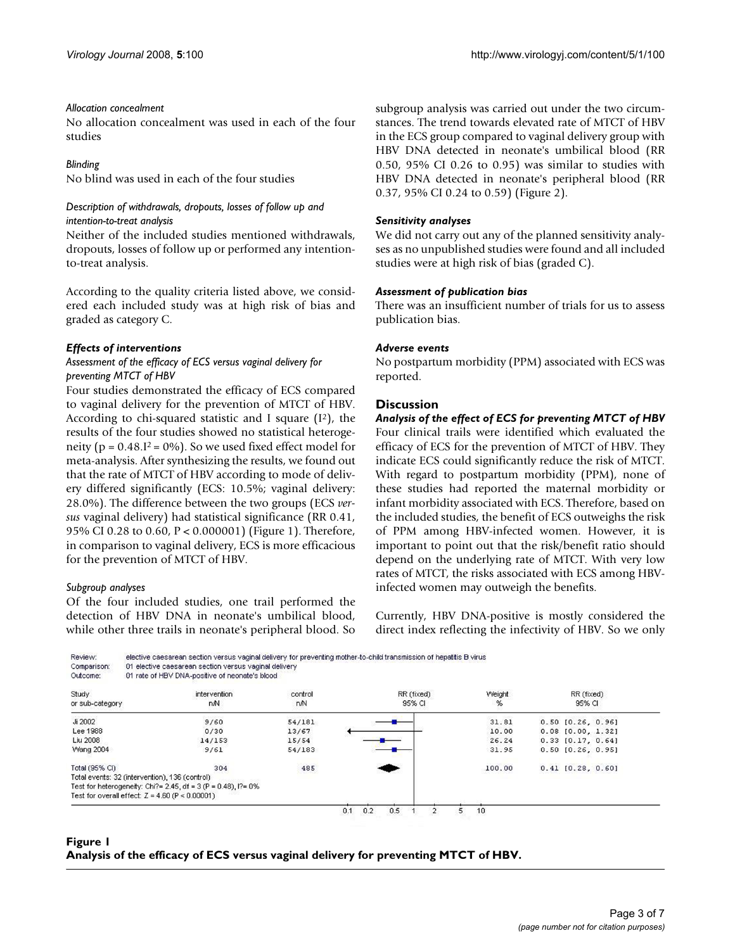#### *Allocation concealment*

No allocation concealment was used in each of the four studies

#### *Blinding*

No blind was used in each of the four studies

#### *Description of withdrawals, dropouts, losses of follow up and intention-to-treat analysis*

Neither of the included studies mentioned withdrawals, dropouts, losses of follow up or performed any intentionto-treat analysis.

According to the quality criteria listed above, we considered each included study was at high risk of bias and graded as category C.

#### *Effects of interventions*

#### *Assessment of the efficacy of ECS versus vaginal delivery for preventing MTCT of HBV*

Four studies demonstrated the efficacy of ECS compared to vaginal delivery for the prevention of MTCT of HBV. According to chi-squared statistic and I square  $(I^2)$ , the results of the four studies showed no statistical heterogeneity ( $p = 0.48$ .<sup>[2</sup> = 0%). So we used fixed effect model for meta-analysis. After synthesizing the results, we found out that the rate of MTCT of HBV according to mode of delivery differed significantly (ECS: 10.5%; vaginal delivery: 28.0%). The difference between the two groups (ECS *versus* vaginal delivery) had statistical significance (RR 0.41, 95% CI 0.28 to 0.60, P < 0.000001) (Figure 1). Therefore, in comparison to vaginal delivery, ECS is more efficacious for the prevention of MTCT of HBV.

#### *Subgroup analyses*

Of the four included studies, one trail performed the detection of HBV DNA in neonate's umbilical blood, while other three trails in neonate's peripheral blood. So

subgroup analysis was carried out under the two circumstances. The trend towards elevated rate of MTCT of HBV in the ECS group compared to vaginal delivery group with HBV DNA detected in neonate's umbilical blood (RR 0.50, 95% CI 0.26 to 0.95) was similar to studies with HBV DNA detected in neonate's peripheral blood (RR 0.37, 95% CI 0.24 to 0.59) (Figure 2).

#### *Sensitivity analyses*

We did not carry out any of the planned sensitivity analyses as no unpublished studies were found and all included studies were at high risk of bias (graded C).

#### *Assessment of publication bias*

There was an insufficient number of trials for us to assess publication bias.

#### *Adverse events*

No postpartum morbidity (PPM) associated with ECS was reported.

### **Discussion**

### *Analysis of the effect of ECS for preventing MTCT of HBV* Four clinical trails were identified which evaluated the efficacy of ECS for the prevention of MTCT of HBV. They indicate ECS could significantly reduce the risk of MTCT. With regard to postpartum morbidity (PPM), none of these studies had reported the maternal morbidity or infant morbidity associated with ECS. Therefore, based on the included studies, the benefit of ECS outweighs the risk of PPM among HBV-infected women. However, it is important to point out that the risk/benefit ratio should depend on the underlying rate of MTCT. With very low rates of MTCT, the risks associated with ECS among HBVinfected women may outweigh the benefits.

Currently, HBV DNA-positive is mostly considered the direct index reflecting the infectivity of HBV. So we only

| <b>NEVIEW.</b><br>Comparison:<br>Outcome: | elective caesareari secubit versus vaginal delivery for preventing mother-to-criliu transmission of hepatitis D virus<br>01 elective caesarean section versus vaginal delivery<br>01 rate of HBV DNA-positive of neonate's blood |               |                      |                    |                       |  |
|-------------------------------------------|----------------------------------------------------------------------------------------------------------------------------------------------------------------------------------------------------------------------------------|---------------|----------------------|--------------------|-----------------------|--|
| Study<br>or sub-category                  | intervention<br>nN                                                                                                                                                                                                               | control<br>nN | RR (fixed)<br>95% CI | <b>Weight</b><br>% | RR (fixed)<br>95% CI  |  |
| Ji 2002                                   | 9/60                                                                                                                                                                                                                             | 54/181        |                      | 31.81              | $0.50$ $[0.26, 0.96]$ |  |
| Lee 1988                                  | 0/30                                                                                                                                                                                                                             | 13/67         |                      | 10.00              | $0.08$ $[0.00, 1.32]$ |  |
| Liu 2008                                  | 14/153                                                                                                                                                                                                                           | 15/54         |                      | 26.24              | $0.33$ $[0.17, 0.64]$ |  |
| Wang 2004                                 | 9/61                                                                                                                                                                                                                             | 54/183        |                      | 31.95              | $0.50$ $[0.26, 0.95]$ |  |
| Total (95% CI)                            | 304                                                                                                                                                                                                                              | 485           |                      | 100.00             | $0.41$ $[0.28, 0.60]$ |  |
|                                           | Total events: 32 (intervention), 136 (control)                                                                                                                                                                                   |               |                      |                    |                       |  |
|                                           | Test for heterogeneity: Chi?= 2.45, df = $3$ (P = 0.48), l?= 0%                                                                                                                                                                  |               |                      |                    |                       |  |
|                                           | Test for overall effect: $Z = 4.60$ (P $\leq 0.00001$ )                                                                                                                                                                          |               |                      |                    |                       |  |
|                                           |                                                                                                                                                                                                                                  |               | 0.5<br>0.2<br>0.1    | 10                 |                       |  |

### Analysis of the efficacy of **Figure 1** ECS versus vaginal delivery for preventing MTCT of HBV **Analysis of the efficacy of ECS versus vaginal delivery for preventing MTCT of HBV.**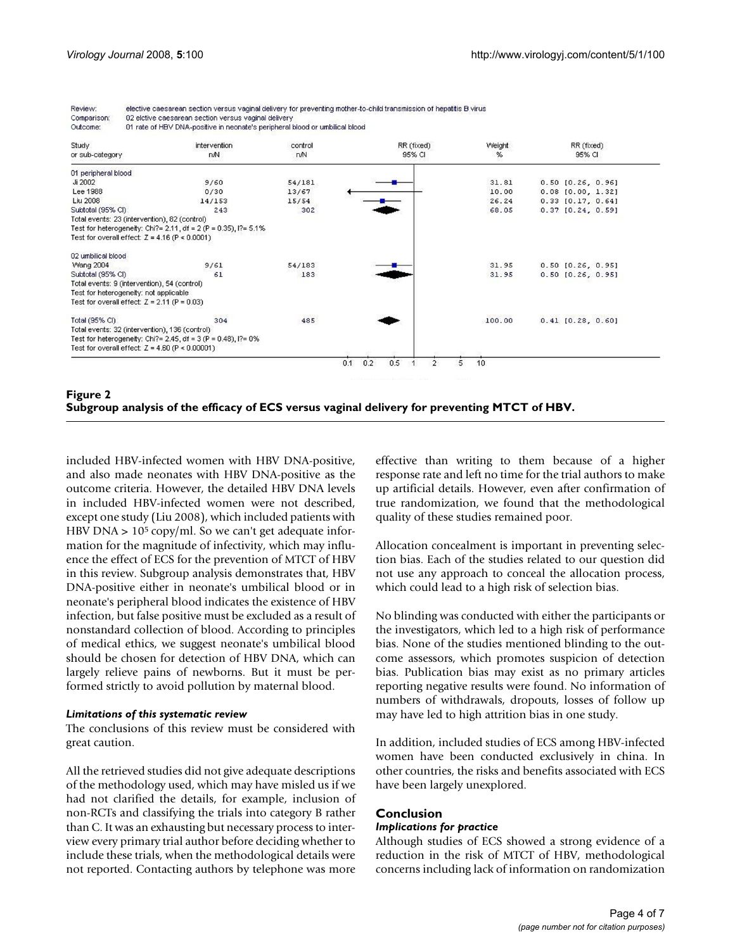| Study<br>or sub-category                          | intervention<br>n/N                                                     | control<br>nN |            | RR (fixed)<br>95% CI | Weight:<br>% | RR (fixed)<br>95% CI  |
|---------------------------------------------------|-------------------------------------------------------------------------|---------------|------------|----------------------|--------------|-----------------------|
| 01 peripheral blood                               |                                                                         |               |            |                      |              |                       |
| Ji 2002                                           | 9/60                                                                    | 54/181        |            |                      | 31.81        | $0.50$ $[0.26, 0.96]$ |
| Lee 1988                                          | 0/30                                                                    | 13/67         |            |                      | 10.00        | $0.08$ $[0.00, 1.32]$ |
| Liu 2008                                          | 14/153                                                                  | 15/54         |            |                      | 26.24        | $0.33$ $[0.17, 0.64]$ |
| Subtotal (95% CI)                                 | 243                                                                     | 302           |            |                      | 68.05        | $0.37$ $[0.24, 0.59]$ |
| Total events: 23 (intervention), 82 (control)     |                                                                         |               |            |                      |              |                       |
|                                                   | Test for heterogeneity: Chi?= $2.11$ , df = $2$ (P = 0.35), l?= $5.1\%$ |               |            |                      |              |                       |
| Test for overall effect: $Z = 4.16$ (P < 0.0001)  |                                                                         |               |            |                      |              |                       |
| 02 umbilical blood                                |                                                                         |               |            |                      |              |                       |
| Wang 2004                                         | 9/61                                                                    | 54/183        |            |                      | 31.95        | $0.50$ $[0.26, 0.95]$ |
| Subtotal (95% CI)                                 | 61                                                                      | 183           |            |                      | 31.95        | $0.50$ $[0.26, 0.95]$ |
| Total events: 9 (intervention), 54 (control)      |                                                                         |               |            |                      |              |                       |
| Test for heterogeneity: not applicable            |                                                                         |               |            |                      |              |                       |
| Test for overall effect: $Z = 2.11$ (P = 0.03)    |                                                                         |               |            |                      |              |                       |
| Total (95% CI)                                    | 304                                                                     | 998991<br>485 |            |                      | 100.00       | $0.41$ $[0.28, 0.60]$ |
| Total events: 32 (intervention), 136 (control)    |                                                                         |               |            |                      |              |                       |
|                                                   | Test for heterogeneity: Chi?= 2.45, df = $3 (P = 0.48)$ , l?= 0%        |               |            |                      |              |                       |
| Test for overall effect: $Z = 4.60$ (P < 0.00001) |                                                                         |               |            |                      |              |                       |
|                                                   |                                                                         |               |            |                      |              |                       |
|                                                   |                                                                         |               | 0.1<br>0.2 | 0.5<br>2             | 10<br>5      |                       |

Review: elective caesarean section versus vaginal delivery for preventing mother-to-child transmission of hepatitis B virus Comparison:

02 elctive caesarean section versus vaginal delivery

Subgroup analysis of the efficacy **Figure 2** of ECS versus vaginal delivery for preventing MTCT of HBV **Subgroup analysis of the efficacy of ECS versus vaginal delivery for preventing MTCT of HBV.**

included HBV-infected women with HBV DNA-positive, and also made neonates with HBV DNA-positive as the outcome criteria. However, the detailed HBV DNA levels in included HBV-infected women were not described, except one study (Liu 2008), which included patients with HBV DNA  $> 10^5$  copy/ml. So we can't get adequate information for the magnitude of infectivity, which may influence the effect of ECS for the prevention of MTCT of HBV in this review. Subgroup analysis demonstrates that, HBV DNA-positive either in neonate's umbilical blood or in neonate's peripheral blood indicates the existence of HBV infection, but false positive must be excluded as a result of nonstandard collection of blood. According to principles of medical ethics, we suggest neonate's umbilical blood should be chosen for detection of HBV DNA, which can largely relieve pains of newborns. But it must be performed strictly to avoid pollution by maternal blood.

#### *Limitations of this systematic review*

The conclusions of this review must be considered with great caution.

All the retrieved studies did not give adequate descriptions of the methodology used, which may have misled us if we had not clarified the details, for example, inclusion of non-RCTs and classifying the trials into category B rather than C. It was an exhausting but necessary process to interview every primary trial author before deciding whether to include these trials, when the methodological details were not reported. Contacting authors by telephone was more effective than writing to them because of a higher response rate and left no time for the trial authors to make up artificial details. However, even after confirmation of true randomization, we found that the methodological quality of these studies remained poor.

Allocation concealment is important in preventing selection bias. Each of the studies related to our question did not use any approach to conceal the allocation process, which could lead to a high risk of selection bias.

No blinding was conducted with either the participants or the investigators, which led to a high risk of performance bias. None of the studies mentioned blinding to the outcome assessors, which promotes suspicion of detection bias. Publication bias may exist as no primary articles reporting negative results were found. No information of numbers of withdrawals, dropouts, losses of follow up may have led to high attrition bias in one study.

In addition, included studies of ECS among HBV-infected women have been conducted exclusively in china. In other countries, the risks and benefits associated with ECS have been largely unexplored.

#### **Conclusion**

#### *Implications for practice*

Although studies of ECS showed a strong evidence of a reduction in the risk of MTCT of HBV, methodological concerns including lack of information on randomization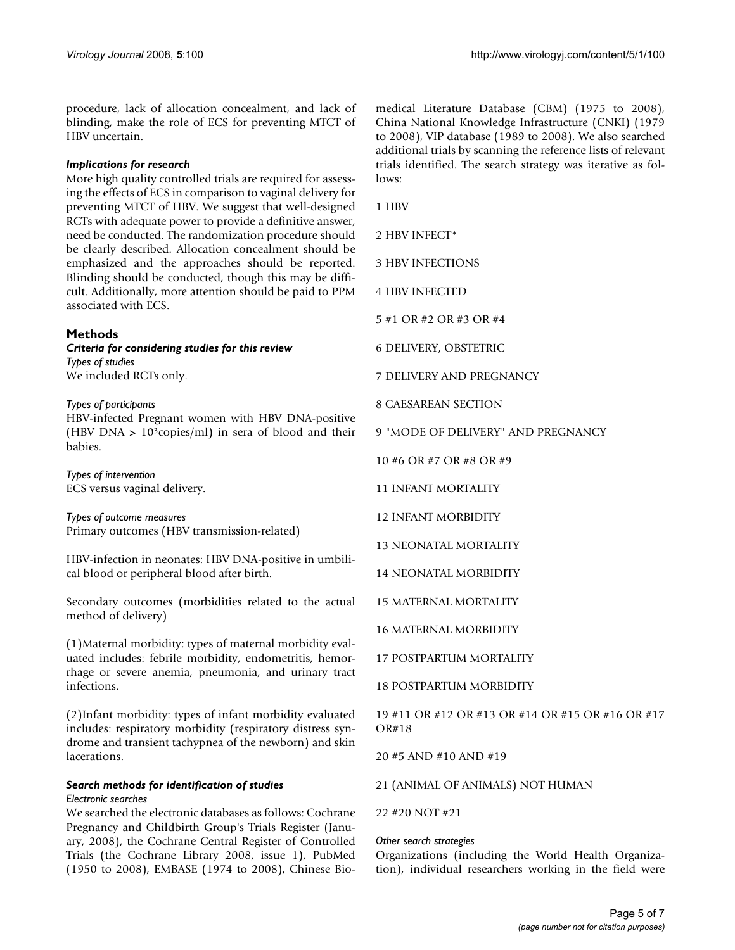procedure, lack of allocation concealment, and lack of blinding, make the role of ECS for preventing MTCT of HBV uncertain.

#### *Implications for research*

More high quality controlled trials are required for assessing the effects of ECS in comparison to vaginal delivery for preventing MTCT of HBV. We suggest that well-designed RCTs with adequate power to provide a definitive answer, need be conducted. The randomization procedure should be clearly described. Allocation concealment should be emphasized and the approaches should be reported. Blinding should be conducted, though this may be difficult. Additionally, more attention should be paid to PPM associated with ECS.

### **Methods**

# *Criteria for considering studies for this review Types of studies*

We included RCTs only.

### *Types of participants*

HBV-infected Pregnant women with HBV DNA-positive (HBV DNA  $> 10<sup>3</sup>$ copies/ml) in sera of blood and their babies.

*Types of intervention* ECS versus vaginal delivery.

*Types of outcome measures* Primary outcomes (HBV transmission-related)

HBV-infection in neonates: HBV DNA-positive in umbilical blood or peripheral blood after birth.

Secondary outcomes (morbidities related to the actual method of delivery)

(1)Maternal morbidity: types of maternal morbidity evaluated includes: febrile morbidity, endometritis, hemorrhage or severe anemia, pneumonia, and urinary tract infections.

(2)Infant morbidity: types of infant morbidity evaluated includes: respiratory morbidity (respiratory distress syndrome and transient tachypnea of the newborn) and skin lacerations.

### *Search methods for identification of studies Electronic searches*

We searched the electronic databases as follows: Cochrane Pregnancy and Childbirth Group's Trials Register (January, 2008), the Cochrane Central Register of Controlled Trials (the Cochrane Library 2008, issue 1), PubMed (1950 to 2008), EMBASE (1974 to 2008), Chinese Biomedical Literature Database (CBM) (1975 to 2008), China National Knowledge Infrastructure (CNKI) (1979 to 2008), VIP database (1989 to 2008). We also searched additional trials by scanning the reference lists of relevant trials identified. The search strategy was iterative as follows:

1 HBV

2 HBV INFECT\*

3 HBV INFECTIONS

4 HBV INFECTED

5 #1 OR #2 OR #3 OR #4

6 DELIVERY, OBSTETRIC

7 DELIVERY AND PREGNANCY

8 CAESAREAN SECTION

9 "MODE OF DELIVERY" AND PREGNANCY

10 #6 OR #7 OR #8 OR #9

11 INFANT MORTALITY

12 INFANT MORBIDITY

13 NEONATAL MORTALITY

14 NEONATAL MORBIDITY

15 MATERNAL MORTALITY

16 MATERNAL MORBIDITY

17 POSTPARTUM MORTALITY

18 POSTPARTUM MORBIDITY

19 #11 OR #12 OR #13 OR #14 OR #15 OR #16 OR #17 OR#18

20 #5 AND #10 AND #19

21 (ANIMAL OF ANIMALS) NOT HUMAN

22 #20 NOT #21

#### *Other search strategies*

Organizations (including the World Health Organization), individual researchers working in the field were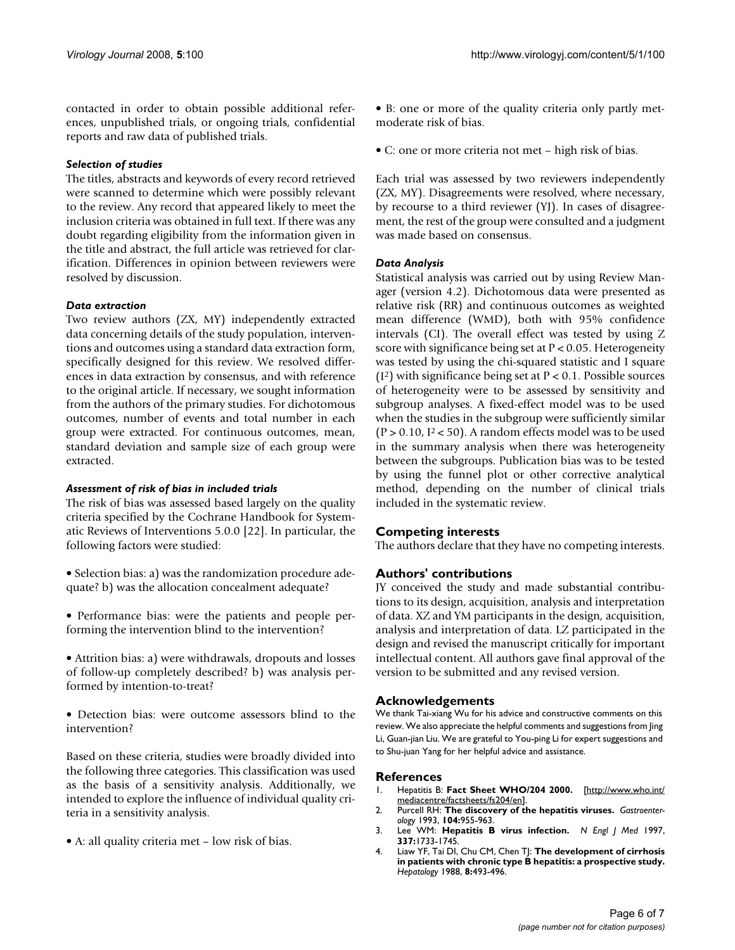contacted in order to obtain possible additional references, unpublished trials, or ongoing trials, confidential reports and raw data of published trials.

# *Selection of studies*

The titles, abstracts and keywords of every record retrieved were scanned to determine which were possibly relevant to the review. Any record that appeared likely to meet the inclusion criteria was obtained in full text. If there was any doubt regarding eligibility from the information given in the title and abstract, the full article was retrieved for clarification. Differences in opinion between reviewers were resolved by discussion.

# *Data extraction*

Two review authors (ZX, MY) independently extracted data concerning details of the study population, interventions and outcomes using a standard data extraction form, specifically designed for this review. We resolved differences in data extraction by consensus, and with reference to the original article. If necessary, we sought information from the authors of the primary studies. For dichotomous outcomes, number of events and total number in each group were extracted. For continuous outcomes, mean, standard deviation and sample size of each group were extracted.

# *Assessment of risk of bias in included trials*

The risk of bias was assessed based largely on the quality criteria specified by the Cochrane Handbook for Systematic Reviews of Interventions 5.0.0 [22]. In particular, the following factors were studied:

- Selection bias: a) was the randomization procedure adequate? b) was the allocation concealment adequate?
- Performance bias: were the patients and people performing the intervention blind to the intervention?
- Attrition bias: a) were withdrawals, dropouts and losses of follow-up completely described? b) was analysis performed by intention-to-treat?
- Detection bias: were outcome assessors blind to the intervention?

Based on these criteria, studies were broadly divided into the following three categories. This classification was used as the basis of a sensitivity analysis. Additionally, we intended to explore the influence of individual quality criteria in a sensitivity analysis.

• A: all quality criteria met – low risk of bias.

- B: one or more of the quality criteria only partly metmoderate risk of bias.
- C: one or more criteria not met high risk of bias.

Each trial was assessed by two reviewers independently (ZX, MY). Disagreements were resolved, where necessary, by recourse to a third reviewer (YJ). In cases of disagreement, the rest of the group were consulted and a judgment was made based on consensus.

# *Data Analysis*

Statistical analysis was carried out by using Review Manager (version 4.2). Dichotomous data were presented as relative risk (RR) and continuous outcomes as weighted mean difference (WMD), both with 95% confidence intervals (CI). The overall effect was tested by using Z score with significance being set at  $P < 0.05$ . Heterogeneity was tested by using the chi-squared statistic and I square  $(1^2)$  with significance being set at  $P < 0.1$ . Possible sources of heterogeneity were to be assessed by sensitivity and subgroup analyses. A fixed-effect model was to be used when the studies in the subgroup were sufficiently similar  $(P > 0.10, I<sup>2</sup> < 50)$ . A random effects model was to be used in the summary analysis when there was heterogeneity between the subgroups. Publication bias was to be tested by using the funnel plot or other corrective analytical method, depending on the number of clinical trials included in the systematic review.

# **Competing interests**

The authors declare that they have no competing interests.

# **Authors' contributions**

JY conceived the study and made substantial contributions to its design, acquisition, analysis and interpretation of data. XZ and YM participants in the design, acquisition, analysis and interpretation of data. LZ participated in the design and revised the manuscript critically for important intellectual content. All authors gave final approval of the version to be submitted and any revised version.

# **Acknowledgements**

We thank Tai-xiang Wu for his advice and constructive comments on this review. We also appreciate the helpful comments and suggestions from Jing Li, Guan-jian Liu. We are grateful to You-ping Li for expert suggestions and to Shu-juan Yang for her helpful advice and assistance.

### **References**

- 1. Hepatitis B: **Fact Sheet WHO/204 2000.** [[http://www.who.int/](http://www.who.int/mediacentre/factsheets/fs204/en) [mediacentre/factsheets/fs204/en](http://www.who.int/mediacentre/factsheets/fs204/en)].
- 2. Purcell RH: **[The discovery of the hepatitis viruses.](http://www.ncbi.nlm.nih.gov/entrez/query.fcgi?cmd=Retrieve&db=PubMed&dopt=Abstract&list_uids=8385046)** *Gastroenterology* 1993, **104:**955-963.
- 3. Lee WM: **[Hepatitis B virus infection.](http://www.ncbi.nlm.nih.gov/entrez/query.fcgi?cmd=Retrieve&db=PubMed&dopt=Abstract&list_uids=9392700)** *N Engl J Med* 1997, **337:**1733-1745.
- 4. Liaw YF, Tai DI, Chu CM, Chen TJ: **[The development of cirrhosis](http://www.ncbi.nlm.nih.gov/entrez/query.fcgi?cmd=Retrieve&db=PubMed&dopt=Abstract&list_uids=3371868) [in patients with chronic type B hepatitis: a prospective study.](http://www.ncbi.nlm.nih.gov/entrez/query.fcgi?cmd=Retrieve&db=PubMed&dopt=Abstract&list_uids=3371868)** *Hepatology* 1988, **8:**493-496.